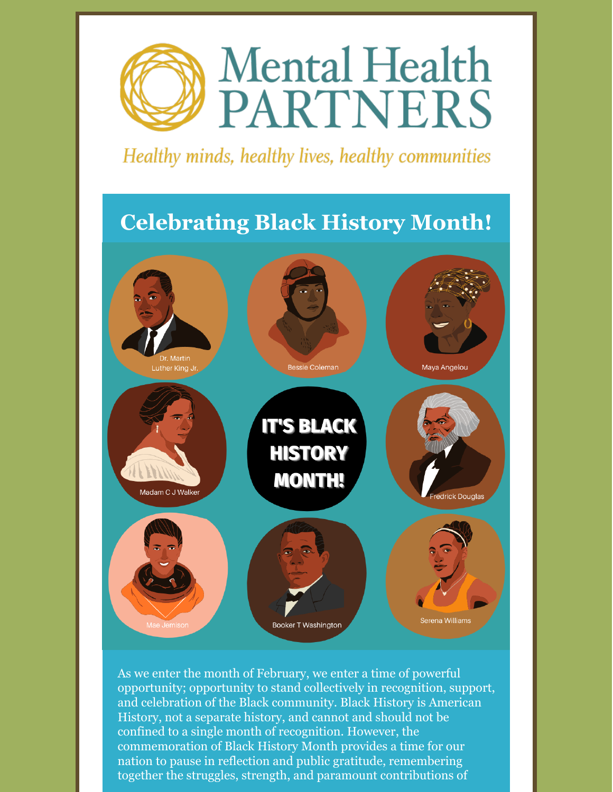

Healthy minds, healthy lives, healthy communities

### **Celebrating Black History Month!**



As we enter the month of February, we enter a time of powerful opportunity; opportunity to stand collectively in recognition, support, and celebration of the Black community. Black History is American History, not a separate history, and cannot and should not be confined to a single month of recognition. However, the commemoration of Black History Month provides a time for our nation to pause in reflection and public gratitude, remembering together the struggles, strength, and paramount contributions of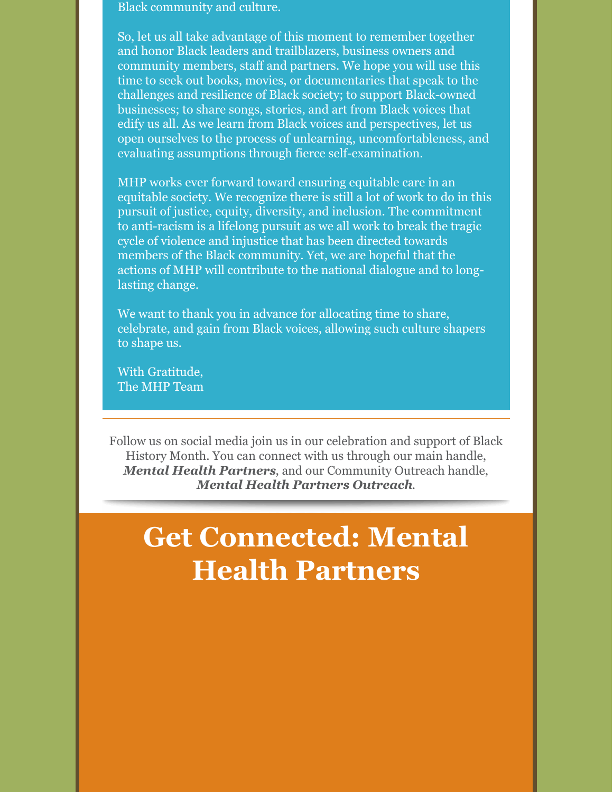Black community and culture.

So, let us all take advantage of this moment to remember together and honor Black leaders and trailblazers, business owners and community members, staff and partners. We hope you will use this time to seek out books, movies, or documentaries that speak to the challenges and resilience of Black society; to support Black-owned businesses; to share songs, stories, and art from Black voices that edify us all. As we learn from Black voices and perspectives, let us open ourselves to the process of unlearning, uncomfortableness, and evaluating assumptions through fierce self-examination.

MHP works ever forward toward ensuring equitable care in an equitable society. We recognize there is still a lot of work to do in this pursuit of justice, equity, diversity, and inclusion. The commitment to anti-racism is a lifelong pursuit as we all work to break the tragic cycle of violence and injustice that has been directed towards members of the Black community. Yet, we are hopeful that the actions of MHP will contribute to the national dialogue and to longlasting change.

We want to thank you in advance for allocating time to share, celebrate, and gain from Black voices, allowing such culture shapers to shape us.

With Gratitude, The MHP Team

Follow us on social media join us in our celebration and support of Black History Month. You can connect with us through our main handle, *Mental Health Partners*, and our Community Outreach handle, *Mental Health Partners Outreach*.

## **Get Connected: Mental Health Partners**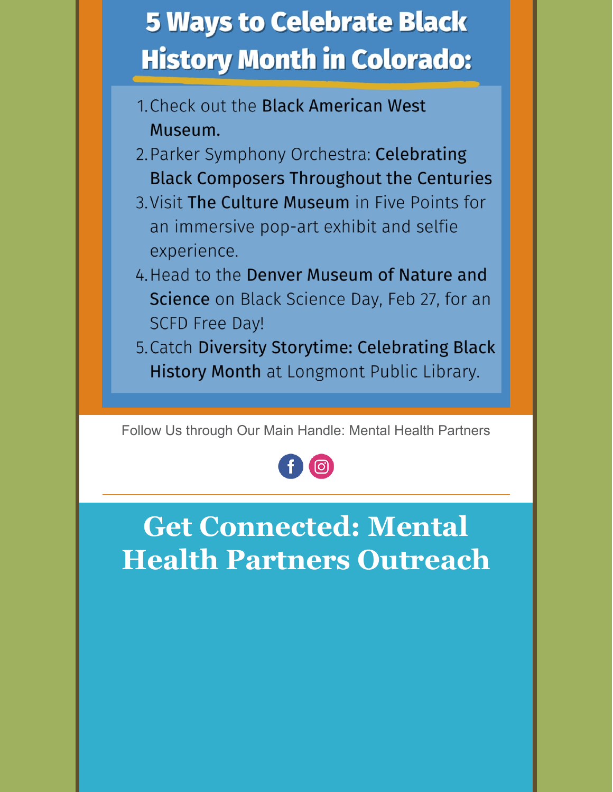# **5 Ways to Celebrate Black History Month in Colorado:**

- 1 Check out the Black American West Museum.
- 2. Parker Symphony Orchestra: Celebrating **Black Composers Throughout the Centuries**
- 3. Visit The Culture Museum in Five Points for an immersive pop-art exhibit and selfie experience.
- 4. Head to the Denver Museum of Nature and Science on Black Science Day, Feb 27, for an **SCFD Free Day!**
- 5. Catch Diversity Storytime: Celebrating Black History Month at Longmont Public Library.

Follow Us through Our Main Handle: Mental Health Partners



**Get Connected: Mental Health Partners Outreach**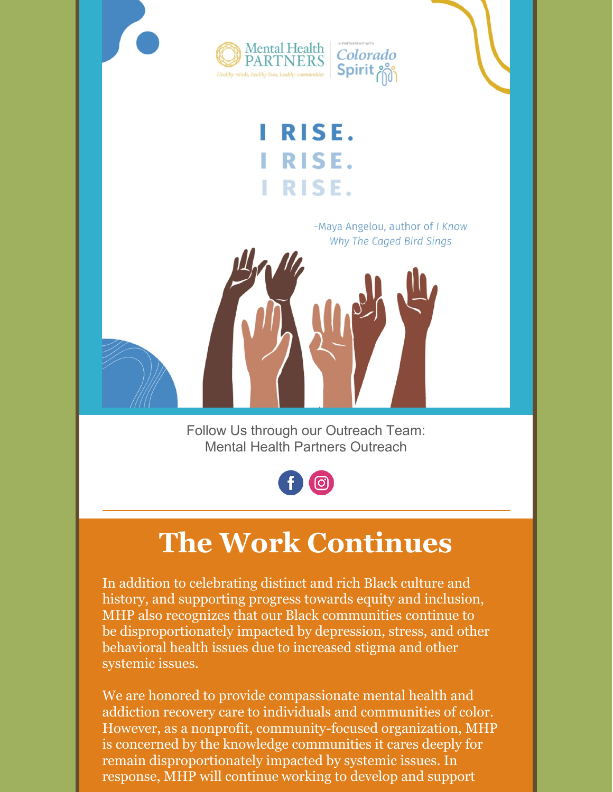

## **The Work Continues**

In addition to celebrating distinct and rich Black culture and history, and supporting progress towards equity and inclusion, MHP also recognizes that our Black communities continue to be disproportionately impacted by depression, stress, and other behavioral health issues due to increased stigma and other systemic issues.

We are honored to provide compassionate mental health and addiction recovery care to individuals and communities of color. However, as a nonprofit, community-focused organization, MHP is concerned by the knowledge communities it cares deeply for remain disproportionately impacted by systemic issues. In response, MHP will continue working to develop and support